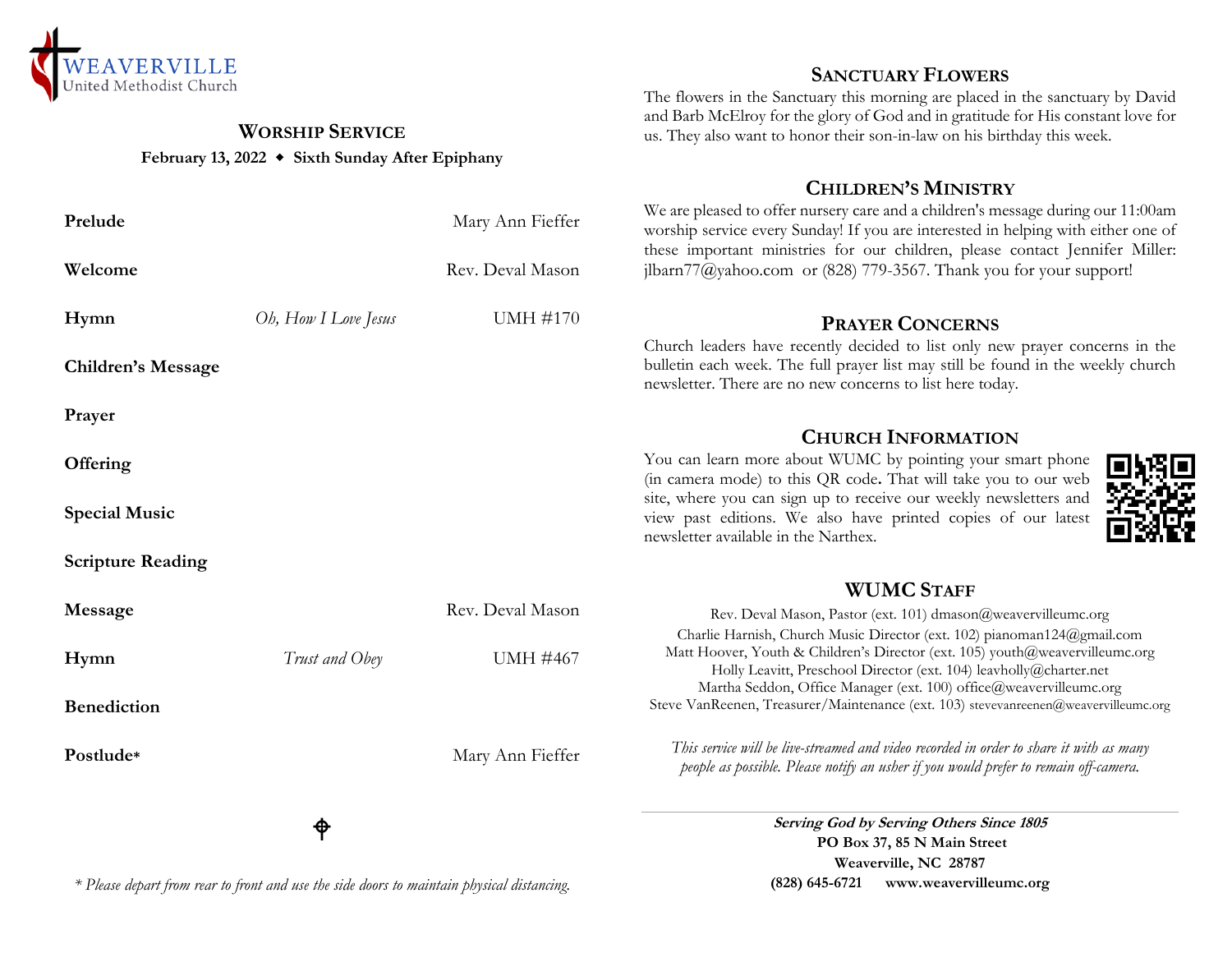

## **WORSHIP SERVICE February 13, 2022 Sixth Sunday After Epiphany**

| Prelude | Mary Ann Fieffer |
|---------|------------------|
| Welcome | Rev. Deval Mason |

**Hymn** *Oh, How I Love Jesus* UMH #170 **Children's Message Prayer Offering Special Music Scripture Reading Message** Rev. Deval Mason **Hymn** *Trust and Obey* **UMH** #467 **Benediction**

## **SANCTUARY FLOWERS**

The flowers in the Sanctuary this morning are placed in the sanctuary by David and Barb McElroy for the glory of God and in gratitude for His constant love for us. They also want to honor their son-in-law on his birthday this week.

## **CHILDREN'S MINISTRY**

We are pleased to offer nursery care and a children's message during our 11:00am worship service every Sunday! If you are interested in helping with either one of these important ministries for our children, please contact Jennifer Miller: jlbarn $77$ @yahoo.com or (828) 779-3567. Thank you for your support!

## **PRAYER CONCERNS**

Church leaders have recently decided to list only new prayer concerns in the bulletin each week. The full prayer list may still be found in the weekly church newsletter. There are no new concerns to list here today.

## **CHURCH INFORMATION**

You can learn more about WUMC by pointing your smart phone (in camera mode) to this QR code**.** That will take you to our web site, where you can sign up to receive our weekly newsletters and view past editions. We also have printed copies of our latest newsletter available in the Narthex.



## **WUMC STAFF**

Postlude<sup>\*</sup> Mary Ann Fieffer Rev. Deval Mason, Pastor (ext. 101) dmason@weavervilleumc.org Charlie Harnish, Church Music Director (ext. 102) pianoman124@gmail.com Matt Hoover, Youth & Children's Director (ext. 105) youth@weavervilleumc.org Holly Leavitt, Preschool Director (ext. 104) leavholly@charter.net Martha Seddon, Office Manager (ext. 100) office@weavervilleumc.org Steve VanReenen, Treasurer/Maintenance (ext. 103) stevevanreenen@weavervilleumc.org *This service will be live-streamed and video recorded in order to share it with as many people as possible. Please notify an usher if you would prefer to remain off-camera.*

# ቀ

*\* Please depart from rear to front and use the side doors to maintain physical distancing.*